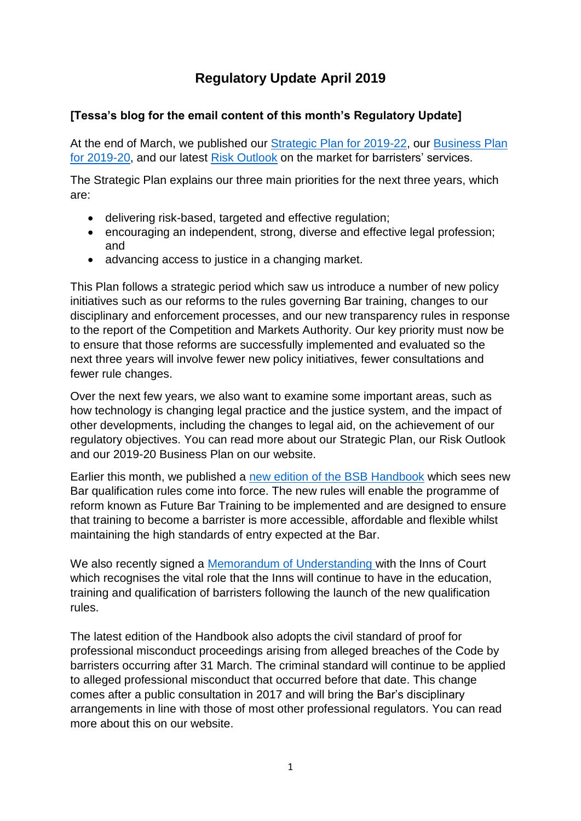# **Regulatory Update April 2019**

## **[Tessa's blog for the email content of this month's Regulatory Update]**

At the end of March, we published our [Strategic Plan for 2019-22,](https://www.barstandardsboard.org.uk/media/1982191/bsb_strategic_plan_2019-22.pdf) our [Business Plan](https://www.barstandardsboard.org.uk/media/1982219/bsb_business_plan_2019-20.pdf)  [for 2019-20,](https://www.barstandardsboard.org.uk/media/1982219/bsb_business_plan_2019-20.pdf) and our latest [Risk Outlook](https://www.barstandardsboard.org.uk/media/1982209/bsb_risk_outlook_2019.pdf) on the market for barristers' services.

The Strategic Plan explains our three main priorities for the next three years, which are:

- delivering risk-based, targeted and effective regulation;
- encouraging an independent, strong, diverse and effective legal profession; and
- advancing access to justice in a changing market.

This Plan follows a strategic period which saw us introduce a number of new policy initiatives such as our reforms to the rules governing Bar training, changes to our disciplinary and enforcement processes, and our new transparency rules in response to the report of the Competition and Markets Authority. Our key priority must now be to ensure that those reforms are successfully implemented and evaluated so the next three years will involve fewer new policy initiatives, fewer consultations and fewer rule changes.

Over the next few years, we also want to examine some important areas, such as how technology is changing legal practice and the justice system, and the impact of other developments, including the changes to legal aid, on the achievement of our regulatory objectives. You can read more about our Strategic Plan, our Risk Outlook and our 2019-20 Business Plan on our website.

Earlier this month, we published a [new edition of the BSB](https://www.barstandardsboard.org.uk/media/1983861/bsb_handbook_april_2019.pdf) Handbook which sees new Bar qualification rules come into force. The new rules will enable the programme of reform known as Future Bar Training to be implemented and are designed to ensure that training to become a barrister is more accessible, affordable and flexible whilst maintaining the high standards of entry expected at the Bar.

We also recently signed a [Memorandum of Understanding w](https://www.barstandardsboard.org.uk/media/1982050/mou_bsb-inns_of_court.pdf)ith the Inns of Court which recognises the vital role that the Inns will continue to have in the education, training and qualification of barristers following the launch of the new qualification rules.

The latest edition of the Handbook also adopts the civil standard of proof for professional misconduct proceedings arising from alleged breaches of the Code by barristers occurring after 31 March. The criminal standard will continue to be applied to alleged professional misconduct that occurred before that date. This change comes after a public consultation in 2017 and will bring the Bar's disciplinary arrangements in line with those of most other professional regulators. You can read more about this on our website.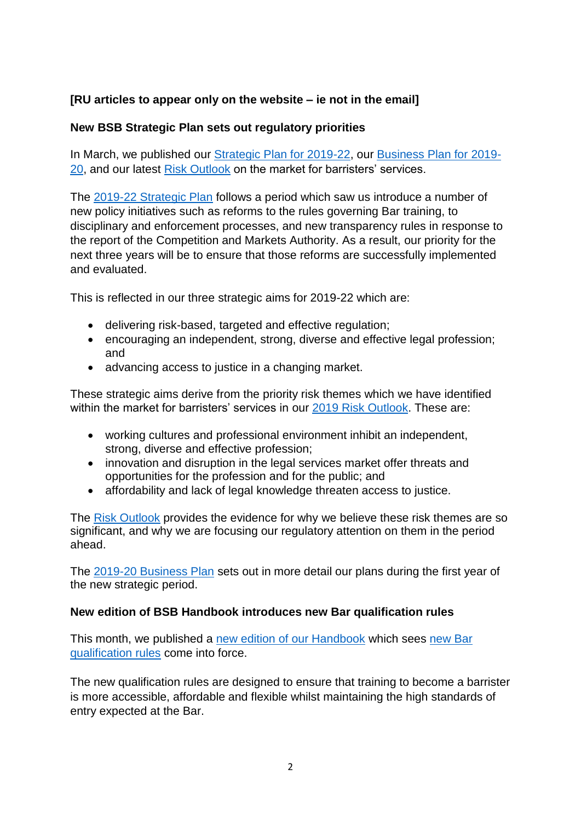## **[RU articles to appear only on the website – ie not in the email]**

### **New BSB Strategic Plan sets out regulatory priorities**

In March, we published our [Strategic Plan for 2019-22,](https://www.barstandardsboard.org.uk/media/1982191/bsb_strategic_plan_2019-22.pdf) our [Business Plan for 2019-](https://www.barstandardsboard.org.uk/media/1982219/bsb_business_plan_2019-20.pdf) [20,](https://www.barstandardsboard.org.uk/media/1982219/bsb_business_plan_2019-20.pdf) and our latest [Risk Outlook](https://www.barstandardsboard.org.uk/media/1982209/bsb_risk_outlook_2019.pdf) on the market for barristers' services.

The [2019-22 Strategic Plan](https://www.barstandardsboard.org.uk/media/1982191/bsb_strategic_plan_2019-22.pdf) follows a period which saw us introduce a number of new policy initiatives such as reforms to the rules governing Bar training, to disciplinary and enforcement processes, and new transparency rules in response to the report of the Competition and Markets Authority. As a result, our priority for the next three years will be to ensure that those reforms are successfully implemented and evaluated.

This is reflected in our three strategic aims for 2019-22 which are:

- delivering risk-based, targeted and effective regulation;
- encouraging an independent, strong, diverse and effective legal profession; and
- advancing access to justice in a changing market.

These strategic aims derive from the priority risk themes which we have identified within the market for barristers' services in our [2019 Risk Outlook.](https://www.barstandardsboard.org.uk/media/1982209/bsb_risk_outlook_2019.pdf) These are:

- working cultures and professional environment inhibit an independent, strong, diverse and effective profession;
- innovation and disruption in the legal services market offer threats and opportunities for the profession and for the public; and
- affordability and lack of legal knowledge threaten access to justice.

The [Risk Outlook](https://www.barstandardsboard.org.uk/media/1982209/bsb_risk_outlook_2019.pdf) provides the evidence for why we believe these risk themes are so significant, and why we are focusing our regulatory attention on them in the period ahead.

The [2019-20 Business Plan](https://www.barstandardsboard.org.uk/media/1982219/bsb_business_plan_2019-20.pdf) sets out in more detail our plans during the first year of the new strategic period.

#### **New edition of BSB Handbook introduces new Bar qualification rules**

This month, we published a [new edition of our Handbook](https://www.barstandardsboard.org.uk/media/1983861/bsb_handbook_april_2019.pdf) which sees [new Bar](https://www.barstandardsboard.org.uk/media-centre/press-releases-and-news/regulator-agrees-new-bar-training-rules/)  [qualification rules](https://www.barstandardsboard.org.uk/media-centre/press-releases-and-news/regulator-agrees-new-bar-training-rules/) come into force.

The new qualification rules are designed to ensure that training to become a barrister is more accessible, affordable and flexible whilst maintaining the high standards of entry expected at the Bar.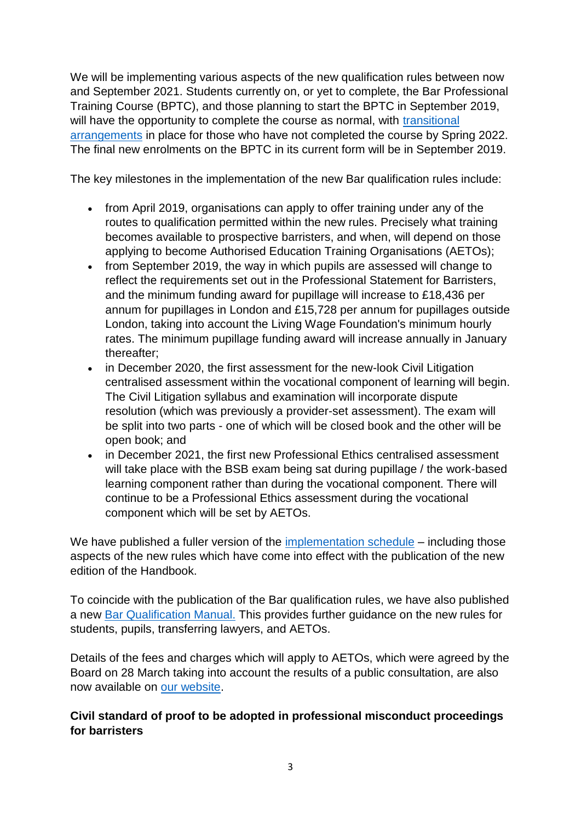We will be implementing various aspects of the new qualification rules between now and September 2021. Students currently on, or yet to complete, the Bar Professional Training Course (BPTC), and those planning to start the BPTC in September 2019, will have the opportunity to complete the course as normal, with transitional [arrangements](https://www.barstandardsboard.org.uk/qualifying-as-a-barrister/bar-training-requirements/vocational-learning-component/bptc-transitional-arrangements-statement/) in place for those who have not completed the course by Spring 2022. The final new enrolments on the BPTC in its current form will be in September 2019.

The key milestones in the implementation of the new Bar qualification rules include:

- from April 2019, organisations can apply to offer training under any of the routes to qualification permitted within the new rules. Precisely what training becomes available to prospective barristers, and when, will depend on those applying to become Authorised Education Training Organisations (AETOs);
- from September 2019, the way in which pupils are assessed will change to reflect the requirements set out in the Professional Statement for Barristers, and the minimum funding award for pupillage will increase to £18,436 per annum for pupillages in London and £15,728 per annum for pupillages outside London, taking into account the Living Wage Foundation's minimum hourly rates. The minimum pupillage funding award will increase annually in January thereafter;
- in December 2020, the first assessment for the new-look Civil Litigation centralised assessment within the vocational component of learning will begin. The Civil Litigation syllabus and examination will incorporate dispute resolution (which was previously a provider-set assessment). The exam will be split into two parts - one of which will be closed book and the other will be open book; and
- in December 2021, the first new Professional Ethics centralised assessment will take place with the BSB exam being sat during pupillage / the work-based learning component rather than during the vocational component. There will continue to be a Professional Ethics assessment during the vocational component which will be set by AETOs.

We have published a fuller version of the *implementation schedule – including those* aspects of the new rules which have come into effect with the publication of the new edition of the Handbook.

To coincide with the publication of the Bar qualification rules, we have also published a new [Bar Qualification Manual.](https://www.barstandardsboard.org.uk/qualifying-as-a-barrister/bar-training-requirements/bar-qualification-manual-index/) This provides further guidance on the new rules for students, pupils, transferring lawyers, and AETOs.

Details of the fees and charges which will apply to AETOs, which were agreed by the Board on 28 March taking into account the results of a public consultation, are also now available on [our website.](https://www.barstandardsboard.org.uk/qualifying-as-a-barrister/authorised-education-and-training-organisations,-including-pupillage-providers/)

### **Civil standard of proof to be adopted in professional misconduct proceedings for barristers**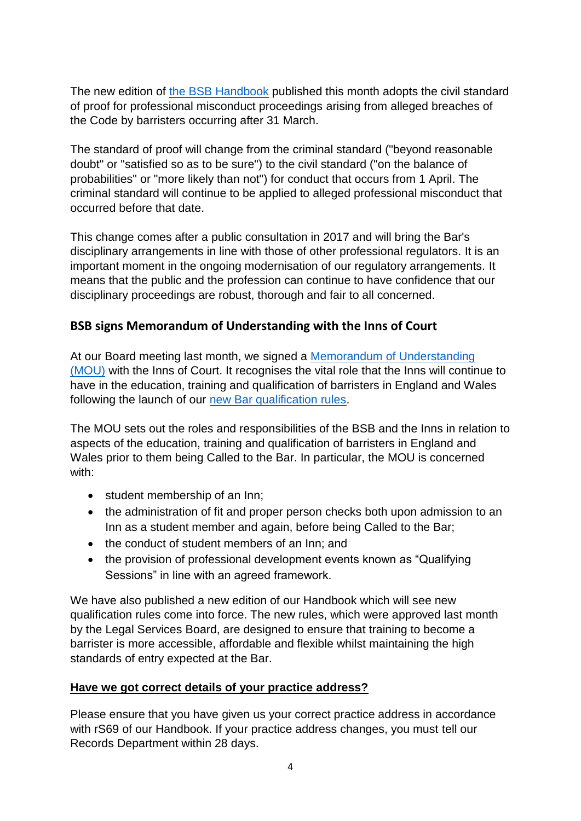The new edition of [the BSB Handbook](https://www.barstandardsboard.org.uk/regulatory-requirements/bsb-handbook/the-handbook-publication/) published this month adopts the civil standard of proof for professional misconduct proceedings arising from alleged breaches of the Code by barristers occurring after 31 March.

The standard of proof will change from the criminal standard ("beyond reasonable doubt" or "satisfied so as to be sure") to the civil standard ("on the balance of probabilities" or "more likely than not") for conduct that occurs from 1 April. The criminal standard will continue to be applied to alleged professional misconduct that occurred before that date.

This change comes after a public consultation in 2017 and will bring the Bar's disciplinary arrangements in line with those of other professional regulators. It is an important moment in the ongoing modernisation of our regulatory arrangements. It means that the public and the profession can continue to have confidence that our disciplinary proceedings are robust, thorough and fair to all concerned.

# **BSB signs Memorandum of Understanding with the Inns of Court**

At our Board meeting last month, we signed a [Memorandum of Understanding](https://www.barstandardsboard.org.uk/media/1982050/mou_bsb-inns_of_court.pdf)  [\(MOU\)](https://www.barstandardsboard.org.uk/media/1982050/mou_bsb-inns_of_court.pdf) with the Inns of Court. It recognises the vital role that the Inns will continue to have in the education, training and qualification of barristers in England and Wales following the launch of our [new Bar qualification rules.](https://www.barstandardsboard.org.uk/media-centre/press-releases-and-news/regulator-agrees-new-bar-training-rules/)

The MOU sets out the roles and responsibilities of the BSB and the Inns in relation to aspects of the education, training and qualification of barristers in England and Wales prior to them being Called to the Bar. In particular, the MOU is concerned with:

- student membership of an Inn;
- the administration of fit and proper person checks both upon admission to an Inn as a student member and again, before being Called to the Bar;
- the conduct of student members of an Inn; and
- the provision of professional development events known as "Qualifying" Sessions" in line with an agreed framework.

We have also published a new edition of our Handbook which will see new qualification rules come into force. The new rules, which were approved last month by the Legal Services Board, are designed to ensure that training to become a barrister is more accessible, affordable and flexible whilst maintaining the high standards of entry expected at the Bar.

### **Have we got correct details of your practice address?**

Please ensure that you have given us your correct practice address in accordance with rS69 of our Handbook. If your practice address changes, you must tell our Records Department within 28 days.